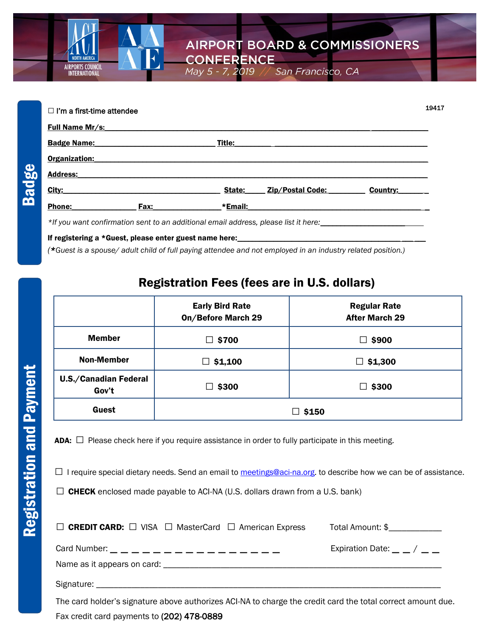

San Francisco, CA

| $\Box$ I'm a first-time attendee |                            | 19417    |
|----------------------------------|----------------------------|----------|
| <b>Full Name Mr/s:</b>           |                            |          |
| <b>Badge Name:</b>               | Title:                     |          |
| Organization:                    |                            |          |
| <b>Address:</b>                  |                            |          |
| City:                            | State:<br>Zip/Postal Code: | Country: |
| <b>Phone:</b><br>Fax:            | *Email:                    |          |

May 5 - 7, 2019

If registering a \*Guest, please enter guest name here: *(\*Guest is a spouse/ adult child of full paying attendee and not employed in an industry related position.)* 

## Registration Fees (fees are in U.S. dollars)

|                                       | <b>Early Bird Rate</b><br><b>On/Before March 29</b> | <b>Regular Rate</b><br><b>After March 29</b> |
|---------------------------------------|-----------------------------------------------------|----------------------------------------------|
| <b>Member</b>                         | \$700                                               | \$900<br>$\Box$                              |
| <b>Non-Member</b>                     | \$1,100<br>ப                                        | $\Box$ \$1,300                               |
| <b>U.S./Canadian Federal</b><br>Gov't | \$300                                               | $\Box$ \$300                                 |
| Guest                                 |                                                     | $\Box$ \$150                                 |

**ADA:**  $\Box$  Please check here if you require assistance in order to fully participate in this meeting.

 $\Box$  I require special dietary needs. Send an email to [meetings@aci-na.org.](mailto:meetings@aci-na.org?subject=Dietary%20Needs) to describe how we can be of assistance.

 $\square$  CHECK enclosed made payable to ACI-NA (U.S. dollars drawn from a U.S. bank)

| $\Box$ CREDIT CARD: $\Box$ VISA $\Box$ MasterCard $\Box$ American Express | Total Amount: \$                 |
|---------------------------------------------------------------------------|----------------------------------|
|                                                                           | Expiration Date: $\_  \_ /$ $\_$ |
|                                                                           |                                  |
|                                                                           |                                  |

The card holder's signature above authorizes ACI-NA to charge the credit card the total correct amount due. Fax credit card payments to (202) 478-0889

Badge

IRPORTS COUNC<br>INTERNATIONAL